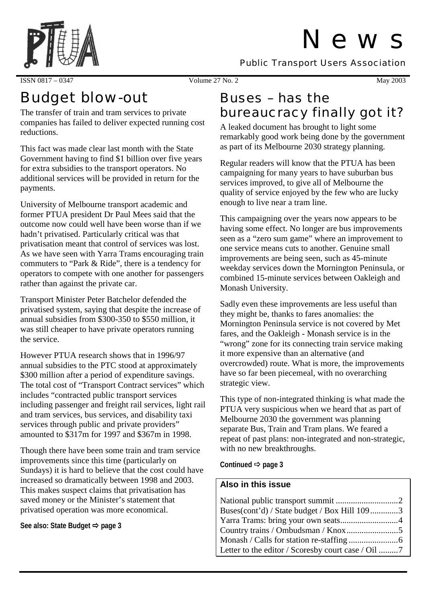# N e w s

Public Transport Users Association



#### ISSN 0817 – 0347 Volume 27 No. 2 May 2003

## Budget blow-out

The transfer of train and tram services to private companies has failed to deliver expected running cost reductions.

This fact was made clear last month with the State Government having to find \$1 billion over five years for extra subsidies to the transport operators. No additional services will be provided in return for the payments.

University of Melbourne transport academic and former PTUA president Dr Paul Mees said that the outcome now could well have been worse than if we hadn't privatised. Particularly critical was that privatisation meant that control of services was lost. As we have seen with Yarra Trams encouraging train commuters to "Park & Ride", there is a tendency for operators to compete with one another for passengers rather than against the private car.

Transport Minister Peter Batchelor defended the privatised system, saying that despite the increase of annual subsidies from \$300-350 to \$550 million, it was still cheaper to have private operators running the service.

However PTUA research shows that in 1996/97 annual subsidies to the PTC stood at approximately \$300 million after a period of expenditure savings. The total cost of "Transport Contract services" which includes "contracted public transport services including passenger and freight rail services, light rail and tram services, bus services, and disability taxi services through public and private providers" amounted to \$317m for 1997 and \$367m in 1998.

Though there have been some train and tram service improvements since this time (particularly on Sundays) it is hard to believe that the cost could have increased so dramatically between 1998 and 2003. This makes suspect claims that privatisation has saved money or the Minister's statement that privatised operation was more economical.

#### See also: State Budget  $\Rightarrow$  **page 3**

## Buses – has the bureaucracy finally got it?

A leaked document has brought to light some remarkably good work being done by the government as part of its Melbourne 2030 strategy planning.

Regular readers will know that the PTUA has been campaigning for many years to have suburban bus services improved, to give all of Melbourne the quality of service enjoyed by the few who are lucky enough to live near a tram line.

This campaigning over the years now appears to be having some effect. No longer are bus improvements seen as a "zero sum game" where an improvement to one service means cuts to another. Genuine small improvements are being seen, such as 45-minute weekday services down the Mornington Peninsula, or combined 15-minute services between Oakleigh and Monash University.

Sadly even these improvements are less useful than they might be, thanks to fares anomalies: the Mornington Peninsula service is not covered by Met fares, and the Oakleigh - Monash service is in the "wrong" zone for its connecting train service making it more expensive than an alternative (and overcrowded) route. What is more, the improvements have so far been piecemeal, with no overarching strategic view.

This type of non-integrated thinking is what made the PTUA very suspicious when we heard that as part of Melbourne 2030 the government was planning separate Bus, Train and Tram plans. We feared a repeat of past plans: non-integrated and non-strategic, with no new breakthroughs.

Continued  $\Rightarrow$  page 3

#### **Also in this issue**

| Buses(cont'd) / State budget / Box Hill 1093 |  |
|----------------------------------------------|--|
|                                              |  |
|                                              |  |
|                                              |  |
|                                              |  |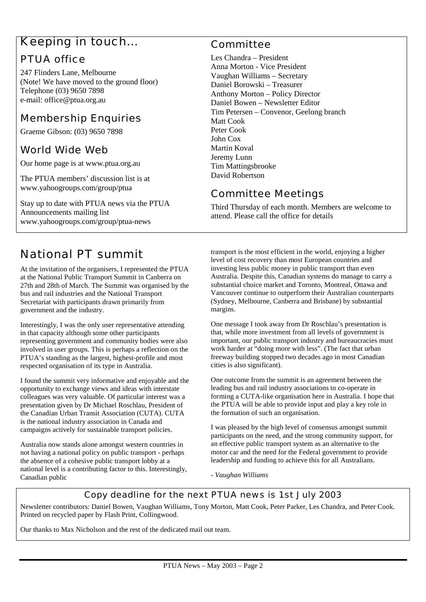### Keeping in touch…

#### PTUA office

247 Flinders Lane, Melbourne (Note! We have moved to the ground floor) Telephone (03) 9650 7898 e-mail: office@ptua.org.au

#### Membership Enquiries

Graeme Gibson: (03) 9650 7898

#### World Wide Web

Our home page is at www.ptua.org.au

The PTUA members' discussion list is at www.yahoogroups.com/group/ptua

Stay up to date with PTUA news via the PTUA Announcements mailing list www.yahoogroups.com/group/ptua-news

### National PT summit

At the invitation of the organisers, I represented the PTUA at the National Public Transport Summit in Canberra on 27th and 28th of March. The Summit was organised by the bus and rail industries and the National Transport Secretariat with participants drawn primarily from government and the industry.

Interestingly, I was the only user representative attending in that capacity although some other participants representing government and community bodies were also involved in user groups. This is perhaps a reflection on the PTUA's standing as the largest, highest-profile and most respected organisation of its type in Australia.

I found the summit very informative and enjoyable and the opportunity to exchange views and ideas with interstate colleagues was very valuable. Of particular interest was a presentation given by Dr Michael Roschlau, President of the Canadian Urban Transit Association (CUTA). CUTA is the national industry association in Canada and campaigns actively for sustainable transport policies.

Australia now stands alone amongst western countries in not having a national policy on public transport - perhaps the absence of a cohesive public transport lobby at a national level is a contributing factor to this. Interestingly, Canadian public

#### Committee

Les Chandra – President Anna Morton - Vice President Vaughan Williams – Secretary Daniel Borowski – Treasurer Anthony Morton – Policy Director Daniel Bowen – Newsletter Editor Tim Petersen – Convenor, Geelong branch Matt Cook Peter Cook John Cox Martin Koval Jeremy Lunn Tim Mattingsbrooke David Robertson

#### Committee Meetings

Third Thursday of each month. Members are welcome to attend. Please call the office for details

transport is the most efficient in the world, enjoying a higher level of cost recovery than most European countries and investing less public money in public transport than even Australia. Despite this, Canadian systems do manage to carry a substantial choice market and Toronto, Montreal, Ottawa and Vancouver continue to outperform their Australian counterparts (Sydney, Melbourne, Canberra and Brisbane) by substantial margins.

One message I took away from Dr Roschlau's presentation is that, while more investment from all levels of government is important, our public transport industry and bureaucracies must work harder at "doing more with less". (The fact that urban freeway building stopped two decades ago in most Canadian cities is also significant).

One outcome from the summit is an agreement between the leading bus and rail industry associations to co-operate in forming a CUTA-like organisation here in Australia. I hope that the PTUA will be able to provide input and play a key role in the formation of such an organisation.

I was pleased by the high level of consensus amongst summit participants on the need, and the strong community support, for an effective public transport system as an alternative to the motor car and the need for the Federal government to provide leadership and funding to achieve this for all Australians.

*- Vaughan Williams*

#### Copy deadline for the next PTUA news is 1st July 2003

Newsletter contributors: Daniel Bowen, Vaughan Williams, Tony Morton, Matt Cook, Peter Parker, Les Chandra, and Peter Cook. Printed on recycled paper by Flash Print, Collingwood.

Our thanks to Max Nicholson and the rest of the dedicated mail out team.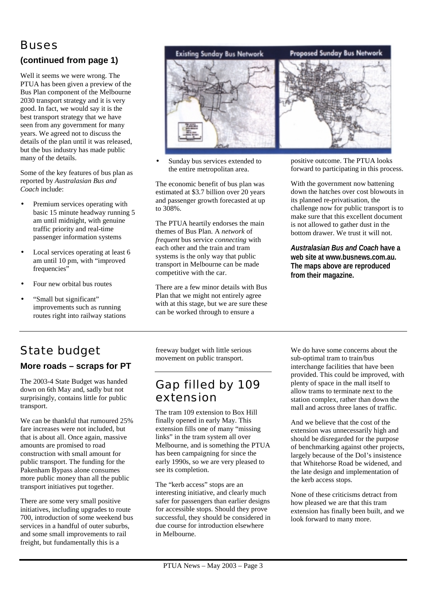### Buses

#### **(continued from page 1)**

Well it seems we were wrong. The PTUA has been given a preview of the Bus Plan component of the Melbourne 2030 transport strategy and it is very good. In fact, we would say it is the best transport strategy that we have seen from any government for many years. We agreed not to discuss the details of the plan until it was released, but the bus industry has made public many of the details.

Some of the key features of bus plan as reported by *Australasian Bus and Coach* include:

- Premium services operating with basic 15 minute headway running 5 am until midnight, with genuine traffic priority and real-time passenger information systems
- Local services operating at least 6 am until 10 pm, with "improved frequencies"
- Four new orbital bus routes
- "Small but significant" improvements such as running routes right into railway stations



Sunday bus services extended to the entire metropolitan area.

The economic benefit of bus plan was estimated at \$3.7 billion over 20 years and passenger growth forecasted at up to 308%.

The PTUA heartily endorses the main themes of Bus Plan. A *network* of *frequent* bus service *connecting* with each other and the train and tram systems is the only way that public transport in Melbourne can be made competitive with the car.

There are a few minor details with Bus Plan that we might not entirely agree with at this stage, but we are sure these can be worked through to ensure a

positive outcome. The PTUA looks forward to participating in this process.

With the government now battening down the hatches over cost blowouts in its planned re-privatisation, the challenge now for public transport is to make sure that this excellent document is not allowed to gather dust in the bottom drawer. We trust it will not.

*Australasian Bus and Coach* **have a web site at www.busnews.com.au. The maps above are reproduced from their magazine.**

#### State budget **More roads – scraps for PT**

The 2003-4 State Budget was handed down on 6th May and, sadly but not surprisingly, contains little for public transport.

We can be thankful that rumoured 25% fare increases were not included, but that is about all. Once again, massive amounts are promised to road construction with small amount for public transport. The funding for the Pakenham Bypass alone consumes more public money than all the public transport initiatives put together.

There are some very small positive initiatives, including upgrades to route 700, introduction of some weekend bus services in a handful of outer suburbs, and some small improvements to rail freight, but fundamentally this is a

freeway budget with little serious movement on public transport.

### Gap filled by 109 extension

The tram 109 extension to Box Hill finally opened in early May. This extension fills one of many "missing links" in the tram system all over Melbourne, and is something the PTUA has been campaigning for since the early 1990s, so we are very pleased to see its completion.

The "kerb access" stops are an interesting initiative, and clearly much safer for passengers than earlier designs for accessible stops. Should they prove successful, they should be considered in due course for introduction elsewhere in Melbourne.

We do have some concerns about the sub-optimal tram to train/bus interchange facilities that have been provided. This could be improved, with plenty of space in the mall itself to allow trams to terminate next to the station complex, rather than down the mall and across three lanes of traffic.

And we believe that the cost of the extension was unnecessarily high and should be disregarded for the purpose of benchmarking against other projects, largely because of the DoI's insistence that Whitehorse Road be widened, and the late design and implementation of the kerb access stops.

None of these criticisms detract from how pleased we are that this tram extension has finally been built, and we look forward to many more.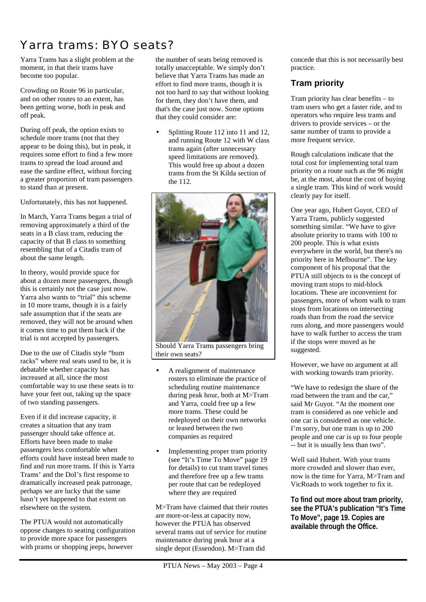## Yarra trams: BYO seats?

Yarra Trams has a slight problem at the moment, in that their trams have become too popular.

Crowding on Route 96 in particular, and on other routes to an extent, has been getting worse, both in peak and off peak.

During off peak, the option exists to schedule more trams (not that they appear to be doing this), but in peak, it requires some effort to find a few more trams to spread the load around and ease the sardine effect, without forcing a greater proportion of tram passengers to stand than at present.

Unfortunately, this has not happened.

In March, Yarra Trams began a trial of removing approximately a third of the seats in a B class tram, reducing the capacity of that B class to something resembling that of a Citadis tram of about the same length.

In theory, would provide space for about a dozen more passengers, though this is certainly not the case just now. Yarra also wants to "trial" this scheme in 10 more trams, though it is a fairly safe assumption that if the seats are removed, they will not be around when it comes time to put them back if the trial is not accepted by passengers.

Due to the use of Citadis style "bum racks" where real seats used to be, it is debatable whether capacity has increased at all, since the most comfortable way to use these seats is to have your feet out, taking up the space of two standing passengers.

Even if it did increase capacity, it creates a situation that any tram passenger should take offence at. Efforts have been made to make passengers less comfortable when efforts could have instead been made to find and run more trams. If this is Yarra Trams' and the DoI's first response to dramatically increased peak patronage, perhaps we are lucky that the same hasn't yet happened to that extent on elsewhere on the system.

The PTUA would not automatically oppose changes to seating configuration to provide more space for passengers with prams or shopping jeeps, however

the number of seats being removed is totally unacceptable. We simply don't believe that Yarra Trams has made an effort to find more trams, though it is not too hard to say that without looking for them, they don't have them, and that's the case just now. Some options that they could consider are:

• Splitting Route 112 into 11 and 12, and running Route 12 with W class trams again (after unnecessary speed limitations are removed). This would free up about a dozen trams from the St Kilda section of the 112.



Should Yarra Trams passengers bring their own seats?

- A realignment of maintenance rosters to eliminate the practice of scheduling routine maintenance during peak hour, both at M>Tram and Yarra, could free up a few more trams. These could be redeployed on their own networks or leased between the two companies as required
- Implementing proper tram priority (see "It's Time To Move" page 19 for details) to cut tram travel times and therefore free up a few trams per route that can be redeployed where they are required

M>Tram have claimed that their routes are more-or-less at capacity now, however the PTUA has observed several trams out of service for routine maintenance during peak hour at a single depot (Essendon). M>Tram did

concede that this is not necessarily best practice.

#### **Tram priority**

Tram priority has clear benefits – to tram users who get a faster ride, and to operators who require less trams and drivers to provide services – or the same number of trams to provide a more frequent service.

Rough calculations indicate that the total cost for implementing total tram priority on a route such as the 96 might be, at the most, about the cost of buying a single tram. This kind of work would clearly pay for itself.

One year ago, Hubert Guyot, CEO of Yarra Trams, publicly suggested something similar. "We have to give absolute priority to trams with 100 to 200 people. This is what exists everywhere in the world, but there's no priority here in Melbourne". The key component of his proposal that the PTUA still objects to is the concept of moving tram stops to mid-block locations. These are inconvenient for passengers, more of whom walk to tram stops from locations on intersecting roads than from the road the service runs along, and more passengers would have to walk further to access the tram if the stops were moved as he suggested.

However, we have no argument at all with working towards tram priority.

"We have to redesign the share of the road between the tram and the car," said Mr Guyot. "At the moment one tram is considered as one vehicle and one car is considered as one vehicle. I'm sorry, but one tram is up to 200 people and one car is up to four people -- but it is usually less than two".

Well said Hubert. With your trams more crowded and slower than ever, now is the time for Yarra, M>Tram and VicRoads to work together to fix it.

**To find out more about tram priority, see the PTUA's publication "It's Time To Move", page 19. Copies are available through the Office.**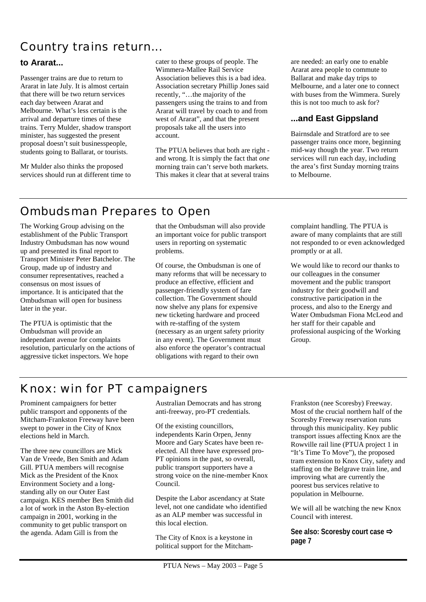### Country trains return...

#### **to Ararat...**

Passenger trains are due to return to Ararat in late July. It is almost certain that there will be two return services each day between Ararat and Melbourne. What's less certain is the arrival and departure times of these trains. Terry Mulder, shadow transport minister, has suggested the present proposal doesn't suit businesspeople, students going to Ballarat, or tourists.

Mr Mulder also thinks the proposed services should run at different time to cater to these groups of people. The Wimmera-Mallee Rail Service Association believes this is a bad idea. Association secretary Phillip Jones said recently, "…the majority of the passengers using the trains to and from Ararat will travel by coach to and from west of Ararat", and that the present proposals take all the users into account.

The PTUA believes that both are right and wrong. It is simply the fact that *one* morning train can't serve both markets. This makes it clear that at several trains

are needed: an early one to enable Ararat area people to commute to Ballarat and make day trips to Melbourne, and a later one to connect with buses from the Wimmera. Surely this is not too much to ask for?

#### **...and East Gippsland**

Bairnsdale and Stratford are to see passenger trains once more, beginning mid-way though the year. Two return services will run each day, including the area's first Sunday morning trains to Melbourne.

### Ombudsman Prepares to Open

The Working Group advising on the establishment of the Public Transport Industry Ombudsman has now wound up and presented its final report to Transport Minister Peter Batchelor. The Group, made up of industry and consumer representatives, reached a consensus on most issues of importance. It is anticipated that the Ombudsman will open for business later in the year.

The PTUA is optimistic that the Ombudsman will provide an independant avenue for complaints resolution, particularly on the actions of aggressive ticket inspectors. We hope

that the Ombudsman will also provide an important voice for public transport users in reporting on systematic problems.

Of course, the Ombudsman is one of many reforms that will be necessary to produce an effective, efficient and passenger-friendly system of fare collection. The Government should now shelve any plans for expensive new ticketing hardware and proceed with re-staffing of the system (necessary as an urgent safety priority in any event). The Government must also enforce the operator's contractual obligations with regard to their own

complaint handling. The PTUA is aware of many complaints that are still not responded to or even acknowledged promptly or at all.

We would like to record our thanks to our colleagues in the consumer movement and the public transport industry for their goodwill and constructive participation in the process, and also to the Energy and Water Ombudsman Fiona McLeod and her staff for their capable and professional auspicing of the Working Group.

### Knox: win for PT campaigners

Prominent campaigners for better public transport and opponents of the Mitcham-Frankston Freeway have been swept to power in the City of Knox elections held in March.

The three new councillors are Mick Van de Vreede, Ben Smith and Adam Gill. PTUA members will recognise Mick as the President of the Knox Environment Society and a longstanding ally on our Outer East campaign. KES member Ben Smith did a lot of work in the Aston By-election campaign in 2001, working in the community to get public transport on the agenda. Adam Gill is from the

Australian Democrats and has strong anti-freeway, pro-PT credentials.

Of the existing councillors, independents Karin Orpen, Jenny Moore and Gary Scates have been reelected. All three have expressed pro-PT opinions in the past, so overall, public transport supporters have a strong voice on the nine-member Knox Council.

Despite the Labor ascendancy at State level, not one candidate who identified as an ALP member was successful in this local election.

The City of Knox is a keystone in political support for the Mitcham-

Frankston (nee Scoresby) Freeway. Most of the crucial northern half of the Scoresby Freeway reservation runs through this municipality. Key public transport issues affecting Knox are the Rowville rail line (PTUA project 1 in "It's Time To Move"), the proposed tram extension to Knox City, safety and staffing on the Belgrave train line, and improving what are currently the poorest bus services relative to population in Melbourne.

We will all be watching the new Knox Council with interest.

**See also: Scoresby court case page 7**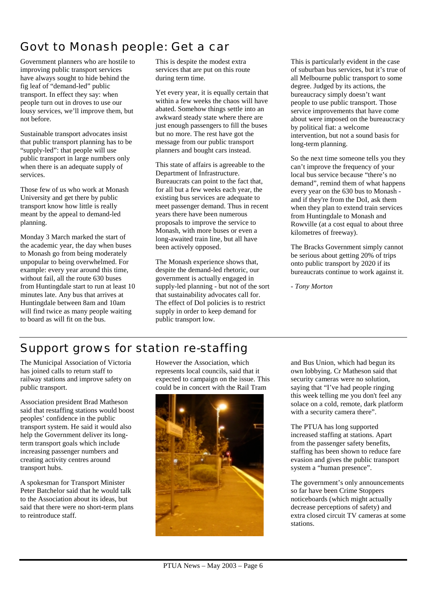## Govt to Monash people: Get a car

Government planners who are hostile to improving public transport services have always sought to hide behind the fig leaf of "demand-led" public transport. In effect they say: when people turn out in droves to use our lousy services, we'll improve them, but not before.

Sustainable transport advocates insist that public transport planning has to be "supply-led": that people will use public transport in large numbers only when there is an adequate supply of services.

Those few of us who work at Monash University and get there by public transport know how little is really meant by the appeal to demand-led planning.

Monday 3 March marked the start of the academic year, the day when buses to Monash go from being moderately unpopular to being overwhelmed. For example: every year around this time, without fail, all the route 630 buses from Huntingdale start to run at least 10 minutes late. Any bus that arrives at Huntingdale between 8am and 10am will find twice as many people waiting to board as will fit on the bus.

This is despite the modest extra services that are put on this route during term time.

Yet every year, it is equally certain that within a few weeks the chaos will have abated. Somehow things settle into an awkward steady state where there are just enough passengers to fill the buses but no more. The rest have got the message from our public transport planners and bought cars instead.

This state of affairs is agreeable to the Department of Infrastructure. Bureaucrats can point to the fact that, for all but a few weeks each year, the existing bus services are adequate to meet passenger demand. Thus in recent years there have been numerous proposals to improve the service to Monash, with more buses or even a long-awaited train line, but all have been actively opposed.

The Monash experience shows that, despite the demand-led rhetoric, our government is actually engaged in supply-led planning - but not of the sort that sustainability advocates call for. The effect of DoI policies is to restrict supply in order to keep demand for public transport low.

This is particularly evident in the case of suburban bus services, but it's true of all Melbourne public transport to some degree. Judged by its actions, the bureaucracy simply doesn't want people to use public transport. Those service improvements that have come about were imposed on the bureaucracy by political fiat: a welcome intervention, but not a sound basis for long-term planning.

So the next time someone tells you they can't improve the frequency of your local bus service because "there's no demand", remind them of what happens every year on the 630 bus to Monash and if they're from the DoI, ask them when they plan to extend train services from Huntingdale to Monash and Rowville (at a cost equal to about three kilometres of freeway).

The Bracks Government simply cannot be serious about getting 20% of trips onto public transport by 2020 if its bureaucrats continue to work against it.

*- Tony Morton*

## Support grows for station re-staffing

The Municipal Association of Victoria has joined calls to return staff to railway stations and improve safety on public transport.

Association president Brad Matheson said that restaffing stations would boost peoples' confidence in the public transport system. He said it would also help the Government deliver its longterm transport goals which include increasing passenger numbers and creating activity centres around transport hubs.

A spokesman for Transport Minister Peter Batchelor said that he would talk to the Association about its ideas, but said that there were no short-term plans to reintroduce staff.

However the Association, which represents local councils, said that it expected to campaign on the issue. This could be in concert with the Rail Tram



and Bus Union, which had begun its own lobbying. Cr Matheson said that security cameras were no solution, saying that "I've had people ringing this week telling me you don't feel any solace on a cold, remote, dark platform with a security camera there".

The PTUA has long supported increased staffing at stations. Apart from the passenger safety benefits, staffing has been shown to reduce fare evasion and gives the public transport system a "human presence".

The government's only announcements so far have been Crime Stoppers noticeboards (which might actually decrease perceptions of safety) and extra closed circuit TV cameras at some stations.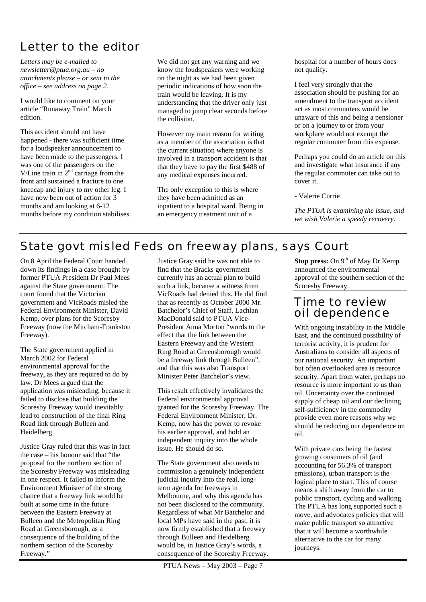## Letter to the editor

*Letters may be e-mailed to newsletter@ptua.org.au – no attachments please – or sent to the office – see address on page 2.* 

I would like to comment on your article "Runaway Train" March edition.

This accident should not have happened - there was sufficient time for a loudspeaker announcement to have been made to the passengers. I was one of the passengers on the V/Line train in  $2<sup>nd</sup>$  carriage from the front and sustained a fracture to one kneecap and injury to my other leg. I have now been out of action for 3 months and am looking at 6-12 months before my condition stabilises. We did not get any warning and we know the loudspeakers were working on the night as we had been given periodic indications of how soon the train would be leaving. It is my understanding that the driver only just managed to jump clear seconds before the collision.

However my main reason for writing as a member of the association is that the current situation where anyone is involved in a transport accident is that that they have to pay the first \$488 of any medical expenses incurred.

The only exception to this is where they have been admitted as an inpatient to a hospital ward. Being in an emergency treatment unit of a

hospital for a number of hours does not qualify.

I feel very strongly that the association should be pushing for an amendment to the transport accident act as most commuters would be unaware of this and being a pensioner or on a journey to or from your workplace would not exempt the regular commuter from this expense.

Perhaps you could do an article on this and investigate what insurance if any the regular commuter can take out to cover it.

- Valerie Currie

*The PTUA is examining the issue, and we wish Valerie a speedy recovery.*

### State govt misled Feds on freeway plans, says Court

On 8 April the Federal Court handed down its findings in a case brought by former PTUA President Dr Paul Mees against the State government. The court found that the Victorian government and VicRoads misled the Federal Environment Minister, David Kemp, over plans for the Scoresby Freeway (now the Mitcham-Frankston Freeway).

The State government applied in March 2002 for Federal environmental approval for the freeway, as they are required to do by law. Dr Mees argued that the application was misleading, because it failed to disclose that building the Scoresby Freeway would inevitably lead to construction of the final Ring Road link through Bulleen and Heidelberg.

Justice Gray ruled that this was in fact the case – his honour said that "the proposal for the northern section of the Scoresby Freeway was misleading in one respect. It failed to inform the Environment Minister of the strong chance that a freeway link would be built at some time in the future between the Eastern Freeway at Bulleen and the Metropolitan Ring Road at Greensborough, as a consequence of the building of the northern section of the Scoresby Freeway."

Justice Gray said he was not able to find that the Bracks government currently has an actual plan to build such a link, because a witness from VicRoads had denied this. He did find that as recently as October 2000 Mr. Batchelor's Chief of Staff, Lachlan MacDonald said to PTUA Vice-President Anna Morton "words to the effect that the link between the Eastern Freeway and the Western Ring Road at Greensborough would be a freeway link through Bulleen", and that this was also Transport Minister Peter Batchelor's view.

This result effectively invalidates the Federal environmental approval granted for the Scoresby Freeway. The Federal Environment Minister, Dr. Kemp, now has the power to revoke his earlier approval, and hold an independent inquiry into the whole issue. He should do so.

The State government also needs to commission a genuinely independent judicial inquiry into the real, longterm agenda for freeways in Melbourne, and why this agenda has not been disclosed to the community. Regardless of what Mr Batchelor and local MPs have said in the past, it is now firmly established that a freeway through Bulleen and Heidelberg would be, in Justice Gray's words, a consequence of the Scoresby Freeway.

PTUA News – May 2003 – Page 7

**Stop press:** On 9<sup>th</sup> of May Dr Kemp announced the environmental approval of the southern section of the Scoresby Freeway.

#### Time to review oil dependence

With ongoing instability in the Middle East, and the continued possibility of terrorist activity, it is prudent for Australians to consider all aspects of our national security. An important but often overlooked area is resource security. Apart from water, perhaps no resource is more important to us than oil. Uncertainty over the continued supply of cheap oil and our declining self-sufficiency in the commodity provide even more reasons why we should be reducing our dependence on oil.

With private cars being the fastest growing consumers of oil (and accounting for 56.3% of transport emissions), urban transport is the logical place to start. This of course means a shift away from the car to public transport, cycling and walking. The PTUA has long supported such a move, and advocates policies that will make public transport so attractive that it will become a worthwhile alternative to the car for many journeys.